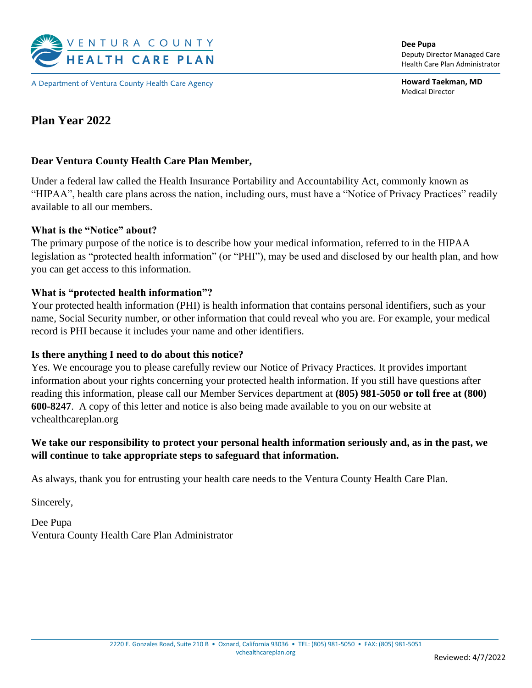

A Department of Ventura County Health Care Agency

**Dee Pupa** Deputy Director Managed Care Health Care Plan Administrator

**Howard Taekman, MD** Medical Director

# **Plan Year 2022**

## **Dear Ventura County Health Care Plan Member,**

Under a federal law called the Health Insurance Portability and Accountability Act, commonly known as "HIPAA", health care plans across the nation, including ours, must have a "Notice of Privacy Practices" readily available to all our members.

#### **What is the "Notice" about?**

The primary purpose of the notice is to describe how your medical information, referred to in the HIPAA legislation as "protected health information" (or "PHI"), may be used and disclosed by our health plan, and how you can get access to this information.

#### **What is "protected health information"?**

Your protected health information (PHI) is health information that contains personal identifiers, such as your name, Social Security number, or other information that could reveal who you are. For example, your medical record is PHI because it includes your name and other identifiers.

#### **Is there anything I need to do about this notice?**

Yes. We encourage you to please carefully review our Notice of Privacy Practices. It provides important information about your rights concerning your protected health information. If you still have questions after reading this information, please call our Member Services department at **(805) 981-5050 or toll free at (800) 600-8247**. A copy of this letter and notice is also being made available to you on our website at vchealthcareplan.org

## **We take our responsibility to protect your personal health information seriously and, as in the past, we will continue to take appropriate steps to safeguard that information.**

As always, thank you for entrusting your health care needs to the Ventura County Health Care Plan.

Sincerely,

Dee Pupa Ventura County Health Care Plan Administrator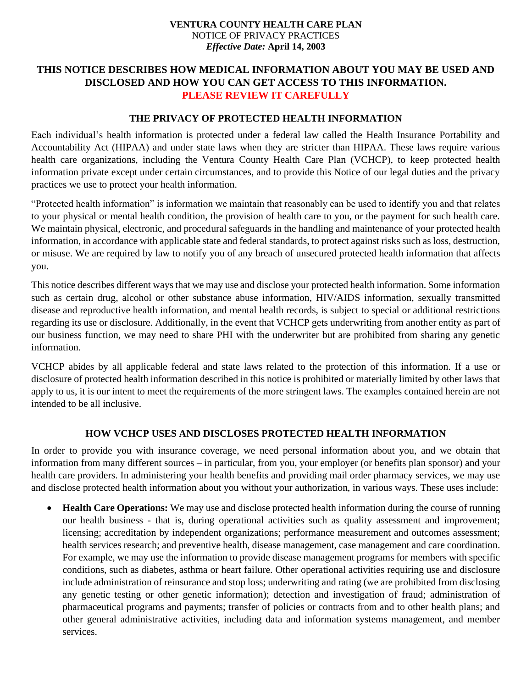## **THIS NOTICE DESCRIBES HOW MEDICAL INFORMATION ABOUT YOU MAY BE USED AND DISCLOSED AND HOW YOU CAN GET ACCESS TO THIS INFORMATION. PLEASE REVIEW IT CAREFULLY**

### **THE PRIVACY OF PROTECTED HEALTH INFORMATION**

Each individual's health information is protected under a federal law called the Health Insurance Portability and Accountability Act (HIPAA) and under state laws when they are stricter than HIPAA. These laws require various health care organizations, including the Ventura County Health Care Plan (VCHCP), to keep protected health information private except under certain circumstances, and to provide this Notice of our legal duties and the privacy practices we use to protect your health information.

"Protected health information" is information we maintain that reasonably can be used to identify you and that relates to your physical or mental health condition, the provision of health care to you, or the payment for such health care. We maintain physical, electronic, and procedural safeguards in the handling and maintenance of your protected health information, in accordance with applicable state and federal standards, to protect against risks such as loss, destruction, or misuse. We are required by law to notify you of any breach of unsecured protected health information that affects you.

This notice describes different ways that we may use and disclose your protected health information. Some information such as certain drug, alcohol or other substance abuse information, HIV/AIDS information, sexually transmitted disease and reproductive health information, and mental health records, is subject to special or additional restrictions regarding its use or disclosure. Additionally, in the event that VCHCP gets underwriting from another entity as part of our business function, we may need to share PHI with the underwriter but are prohibited from sharing any genetic information.

VCHCP abides by all applicable federal and state laws related to the protection of this information. If a use or disclosure of protected health information described in this notice is prohibited or materially limited by other laws that apply to us, it is our intent to meet the requirements of the more stringent laws. The examples contained herein are not intended to be all inclusive.

## **HOW VCHCP USES AND DISCLOSES PROTECTED HEALTH INFORMATION**

In order to provide you with insurance coverage, we need personal information about you, and we obtain that information from many different sources – in particular, from you, your employer (or benefits plan sponsor) and your health care providers. In administering your health benefits and providing mail order pharmacy services, we may use and disclose protected health information about you without your authorization, in various ways. These uses include:

• **Health Care Operations:** We may use and disclose protected health information during the course of running our health business - that is, during operational activities such as quality assessment and improvement; licensing; accreditation by independent organizations; performance measurement and outcomes assessment; health services research; and preventive health, disease management, case management and care coordination. For example, we may use the information to provide disease management programs for members with specific conditions, such as diabetes, asthma or heart failure. Other operational activities requiring use and disclosure include administration of reinsurance and stop loss; underwriting and rating (we are prohibited from disclosing any genetic testing or other genetic information); detection and investigation of fraud; administration of pharmaceutical programs and payments; transfer of policies or contracts from and to other health plans; and other general administrative activities, including data and information systems management, and member services.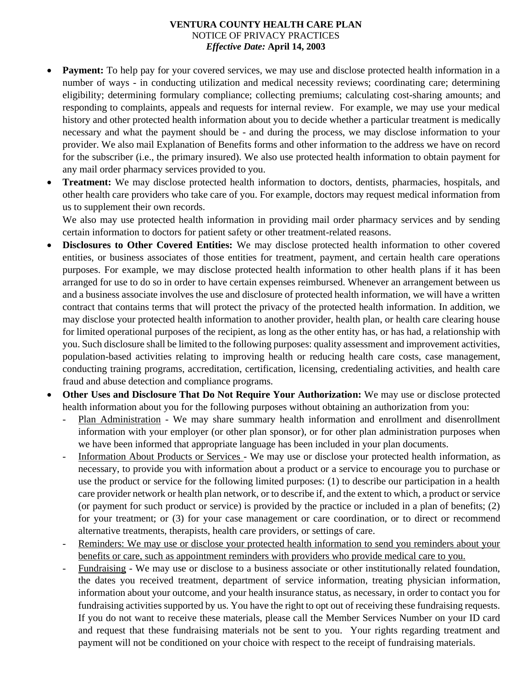- **Payment:** To help pay for your covered services, we may use and disclose protected health information in a number of ways - in conducting utilization and medical necessity reviews; coordinating care; determining eligibility; determining formulary compliance; collecting premiums; calculating cost-sharing amounts; and responding to complaints, appeals and requests for internal review. For example, we may use your medical history and other protected health information about you to decide whether a particular treatment is medically necessary and what the payment should be - and during the process, we may disclose information to your provider. We also mail Explanation of Benefits forms and other information to the address we have on record for the subscriber (i.e., the primary insured). We also use protected health information to obtain payment for any mail order pharmacy services provided to you.
- **Treatment:** We may disclose protected health information to doctors, dentists, pharmacies, hospitals, and other health care providers who take care of you. For example, doctors may request medical information from us to supplement their own records.

We also may use protected health information in providing mail order pharmacy services and by sending certain information to doctors for patient safety or other treatment-related reasons.

- **Disclosures to Other Covered Entities:** We may disclose protected health information to other covered entities, or business associates of those entities for treatment, payment, and certain health care operations purposes. For example, we may disclose protected health information to other health plans if it has been arranged for use to do so in order to have certain expenses reimbursed. Whenever an arrangement between us and a business associate involves the use and disclosure of protected health information, we will have a written contract that contains terms that will protect the privacy of the protected health information. In addition, we may disclose your protected health information to another provider, health plan, or health care clearing house for limited operational purposes of the recipient, as long as the other entity has, or has had, a relationship with you. Such disclosure shall be limited to the following purposes: quality assessment and improvement activities, population-based activities relating to improving health or reducing health care costs, case management, conducting training programs, accreditation, certification, licensing, credentialing activities, and health care fraud and abuse detection and compliance programs.
- **Other Uses and Disclosure That Do Not Require Your Authorization:** We may use or disclose protected health information about you for the following purposes without obtaining an authorization from you:
	- Plan Administration We may share summary health information and enrollment and disenrollment information with your employer (or other plan sponsor), or for other plan administration purposes when we have been informed that appropriate language has been included in your plan documents.
	- Information About Products or Services We may use or disclose your protected health information, as necessary, to provide you with information about a product or a service to encourage you to purchase or use the product or service for the following limited purposes: (1) to describe our participation in a health care provider network or health plan network, or to describe if, and the extent to which, a product or service (or payment for such product or service) is provided by the practice or included in a plan of benefits; (2) for your treatment; or (3) for your case management or care coordination, or to direct or recommend alternative treatments, therapists, health care providers, or settings of care.
	- Reminders: We may use or disclose your protected health information to send you reminders about your benefits or care, such as appointment reminders with providers who provide medical care to you.
	- Fundraising We may use or disclose to a business associate or other institutionally related foundation, the dates you received treatment, department of service information, treating physician information, information about your outcome, and your health insurance status, as necessary, in order to contact you for fundraising activities supported by us. You have the right to opt out of receiving these fundraising requests. If you do not want to receive these materials, please call the Member Services Number on your ID card and request that these fundraising materials not be sent to you. Your rights regarding treatment and payment will not be conditioned on your choice with respect to the receipt of fundraising materials.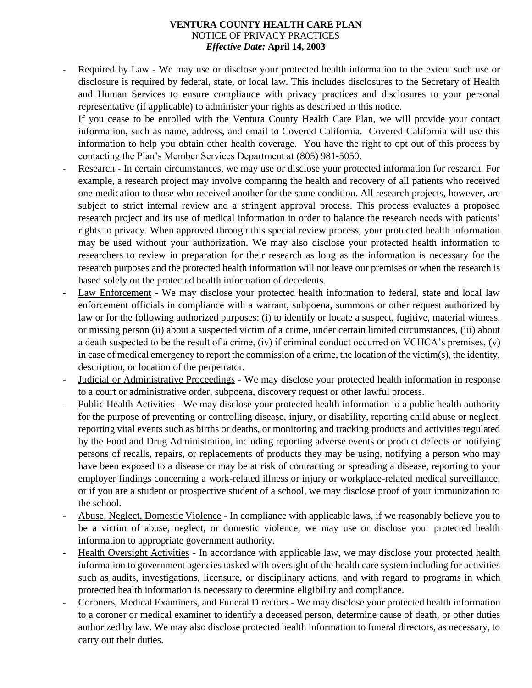Required by Law - We may use or disclose your protected health information to the extent such use or disclosure is required by federal, state, or local law. This includes disclosures to the Secretary of Health and Human Services to ensure compliance with privacy practices and disclosures to your personal representative (if applicable) to administer your rights as described in this notice.

If you cease to be enrolled with the Ventura County Health Care Plan, we will provide your contact information, such as name, address, and email to Covered California. Covered California will use this information to help you obtain other health coverage. You have the right to opt out of this process by contacting the Plan's Member Services Department at (805) 981-5050.

- Research In certain circumstances, we may use or disclose your protected information for research. For example, a research project may involve comparing the health and recovery of all patients who received one medication to those who received another for the same condition. All research projects, however, are subject to strict internal review and a stringent approval process. This process evaluates a proposed research project and its use of medical information in order to balance the research needs with patients' rights to privacy. When approved through this special review process, your protected health information may be used without your authorization. We may also disclose your protected health information to researchers to review in preparation for their research as long as the information is necessary for the research purposes and the protected health information will not leave our premises or when the research is based solely on the protected health information of decedents.
- Law Enforcement We may disclose your protected health information to federal, state and local law enforcement officials in compliance with a warrant, subpoena, summons or other request authorized by law or for the following authorized purposes: (i) to identify or locate a suspect, fugitive, material witness, or missing person (ii) about a suspected victim of a crime, under certain limited circumstances, (iii) about a death suspected to be the result of a crime, (iv) if criminal conduct occurred on VCHCA's premises, (v) in case of medical emergency to report the commission of a crime, the location of the victim(s), the identity, description, or location of the perpetrator.
- Judicial or Administrative Proceedings We may disclose your protected health information in response to a court or administrative order, subpoena, discovery request or other lawful process.
- Public Health Activities We may disclose your protected health information to a public health authority for the purpose of preventing or controlling disease, injury, or disability, reporting child abuse or neglect, reporting vital events such as births or deaths, or monitoring and tracking products and activities regulated by the Food and Drug Administration, including reporting adverse events or product defects or notifying persons of recalls, repairs, or replacements of products they may be using, notifying a person who may have been exposed to a disease or may be at risk of contracting or spreading a disease, reporting to your employer findings concerning a work-related illness or injury or workplace-related medical surveillance, or if you are a student or prospective student of a school, we may disclose proof of your immunization to the school.
- Abuse, Neglect, Domestic Violence In compliance with applicable laws, if we reasonably believe you to be a victim of abuse, neglect, or domestic violence, we may use or disclose your protected health information to appropriate government authority.
- Health Oversight Activities In accordance with applicable law, we may disclose your protected health information to government agencies tasked with oversight of the health care system including for activities such as audits, investigations, licensure, or disciplinary actions, and with regard to programs in which protected health information is necessary to determine eligibility and compliance.
- Coroners, Medical Examiners, and Funeral Directors We may disclose your protected health information to a coroner or medical examiner to identify a deceased person, determine cause of death, or other duties authorized by law. We may also disclose protected health information to funeral directors, as necessary, to carry out their duties.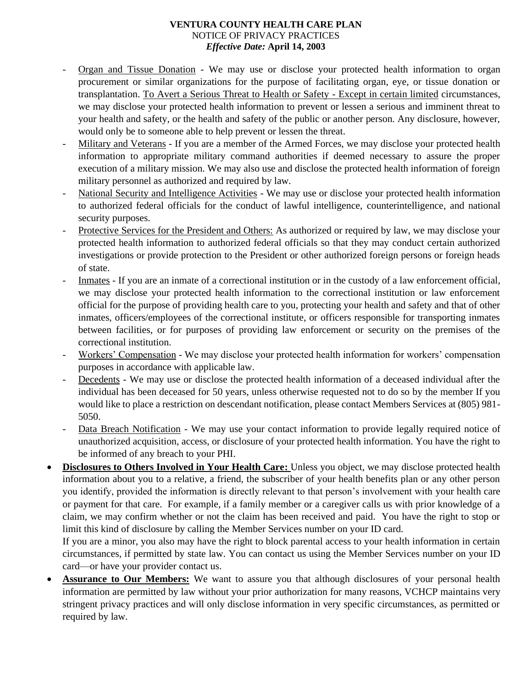- Organ and Tissue Donation We may use or disclose your protected health information to organ procurement or similar organizations for the purpose of facilitating organ, eye, or tissue donation or transplantation. To Avert a Serious Threat to Health or Safety - Except in certain limited circumstances, we may disclose your protected health information to prevent or lessen a serious and imminent threat to your health and safety, or the health and safety of the public or another person. Any disclosure, however, would only be to someone able to help prevent or lessen the threat.
- Military and Veterans If you are a member of the Armed Forces, we may disclose your protected health information to appropriate military command authorities if deemed necessary to assure the proper execution of a military mission. We may also use and disclose the protected health information of foreign military personnel as authorized and required by law.
- National Security and Intelligence Activities We may use or disclose your protected health information to authorized federal officials for the conduct of lawful intelligence, counterintelligence, and national security purposes.
- Protective Services for the President and Others: As authorized or required by law, we may disclose your protected health information to authorized federal officials so that they may conduct certain authorized investigations or provide protection to the President or other authorized foreign persons or foreign heads of state.
- Inmates If you are an inmate of a correctional institution or in the custody of a law enforcement official, we may disclose your protected health information to the correctional institution or law enforcement official for the purpose of providing health care to you, protecting your health and safety and that of other inmates, officers/employees of the correctional institute, or officers responsible for transporting inmates between facilities, or for purposes of providing law enforcement or security on the premises of the correctional institution.
- Workers' Compensation We may disclose your protected health information for workers' compensation purposes in accordance with applicable law.
- Decedents We may use or disclose the protected health information of a deceased individual after the individual has been deceased for 50 years, unless otherwise requested not to do so by the member If you would like to place a restriction on descendant notification, please contact Members Services at (805) 981- 5050.
- Data Breach Notification We may use your contact information to provide legally required notice of unauthorized acquisition, access, or disclosure of your protected health information. You have the right to be informed of any breach to your PHI.
- **Disclosures to Others Involved in Your Health Care:** Unless you object, we may disclose protected health information about you to a relative, a friend, the subscriber of your health benefits plan or any other person you identify, provided the information is directly relevant to that person's involvement with your health care or payment for that care. For example, if a family member or a caregiver calls us with prior knowledge of a claim, we may confirm whether or not the claim has been received and paid. You have the right to stop or limit this kind of disclosure by calling the Member Services number on your ID card.

If you are a minor, you also may have the right to block parental access to your health information in certain circumstances, if permitted by state law. You can contact us using the Member Services number on your ID card—or have your provider contact us.

• **Assurance to Our Members:** We want to assure you that although disclosures of your personal health information are permitted by law without your prior authorization for many reasons, VCHCP maintains very stringent privacy practices and will only disclose information in very specific circumstances, as permitted or required by law.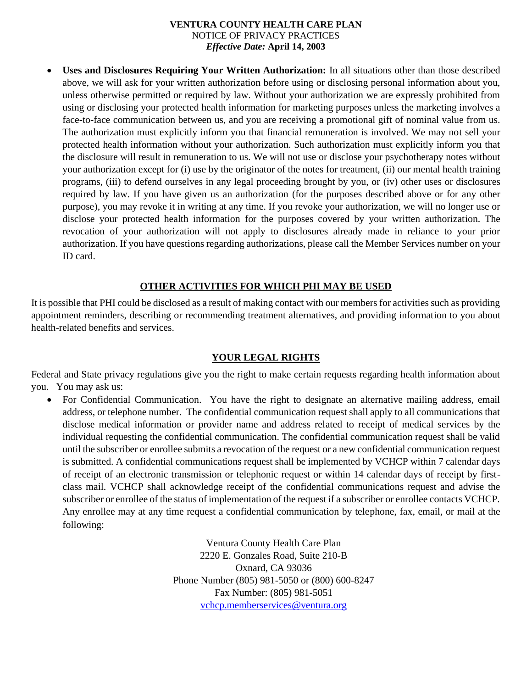• **Uses and Disclosures Requiring Your Written Authorization:** In all situations other than those described above, we will ask for your written authorization before using or disclosing personal information about you, unless otherwise permitted or required by law. Without your authorization we are expressly prohibited from using or disclosing your protected health information for marketing purposes unless the marketing involves a face-to-face communication between us, and you are receiving a promotional gift of nominal value from us. The authorization must explicitly inform you that financial remuneration is involved. We may not sell your protected health information without your authorization. Such authorization must explicitly inform you that the disclosure will result in remuneration to us. We will not use or disclose your psychotherapy notes without your authorization except for (i) use by the originator of the notes for treatment, (ii) our mental health training programs, (iii) to defend ourselves in any legal proceeding brought by you, or (iv) other uses or disclosures required by law. If you have given us an authorization (for the purposes described above or for any other purpose), you may revoke it in writing at any time. If you revoke your authorization, we will no longer use or disclose your protected health information for the purposes covered by your written authorization. The revocation of your authorization will not apply to disclosures already made in reliance to your prior authorization. If you have questions regarding authorizations, please call the Member Services number on your ID card.

## **OTHER ACTIVITIES FOR WHICH PHI MAY BE USED**

It is possible that PHI could be disclosed as a result of making contact with our members for activities such as providing appointment reminders, describing or recommending treatment alternatives, and providing information to you about health-related benefits and services.

## **YOUR LEGAL RIGHTS**

Federal and State privacy regulations give you the right to make certain requests regarding health information about you. You may ask us:

• For Confidential Communication. You have the right to designate an alternative mailing address, email address, or telephone number. The confidential communication request shall apply to all communications that disclose medical information or provider name and address related to receipt of medical services by the individual requesting the confidential communication. The confidential communication request shall be valid until the subscriber or enrollee submits a revocation of the request or a new confidential communication request is submitted. A confidential communications request shall be implemented by VCHCP within 7 calendar days of receipt of an electronic transmission or telephonic request or within 14 calendar days of receipt by firstclass mail. VCHCP shall acknowledge receipt of the confidential communications request and advise the subscriber or enrollee of the status of implementation of the request if a subscriber or enrollee contacts VCHCP. Any enrollee may at any time request a confidential communication by telephone, fax, email, or mail at the following:

> Ventura County Health Care Plan 2220 E. Gonzales Road, Suite 210-B Oxnard, CA 93036 Phone Number (805) 981-5050 or (800) 600-8247 Fax Number: (805) 981-5051 [vchcp.memberservices@ventura.org](mailto:vchcp.memberservices@ventura.org)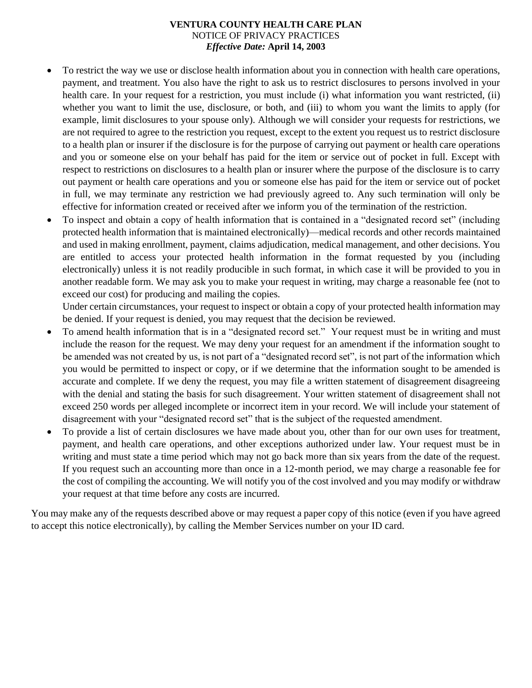- To restrict the way we use or disclose health information about you in connection with health care operations, payment, and treatment. You also have the right to ask us to restrict disclosures to persons involved in your health care. In your request for a restriction, you must include (i) what information you want restricted, (ii) whether you want to limit the use, disclosure, or both, and (iii) to whom you want the limits to apply (for example, limit disclosures to your spouse only). Although we will consider your requests for restrictions, we are not required to agree to the restriction you request, except to the extent you request us to restrict disclosure to a health plan or insurer if the disclosure is for the purpose of carrying out payment or health care operations and you or someone else on your behalf has paid for the item or service out of pocket in full. Except with respect to restrictions on disclosures to a health plan or insurer where the purpose of the disclosure is to carry out payment or health care operations and you or someone else has paid for the item or service out of pocket in full, we may terminate any restriction we had previously agreed to. Any such termination will only be effective for information created or received after we inform you of the termination of the restriction.
- To inspect and obtain a copy of health information that is contained in a "designated record set" (including protected health information that is maintained electronically)—medical records and other records maintained and used in making enrollment, payment, claims adjudication, medical management, and other decisions. You are entitled to access your protected health information in the format requested by you (including electronically) unless it is not readily producible in such format, in which case it will be provided to you in another readable form. We may ask you to make your request in writing, may charge a reasonable fee (not to exceed our cost) for producing and mailing the copies.

Under certain circumstances, your request to inspect or obtain a copy of your protected health information may be denied. If your request is denied, you may request that the decision be reviewed.

- To amend health information that is in a "designated record set." Your request must be in writing and must include the reason for the request. We may deny your request for an amendment if the information sought to be amended was not created by us, is not part of a "designated record set", is not part of the information which you would be permitted to inspect or copy, or if we determine that the information sought to be amended is accurate and complete. If we deny the request, you may file a written statement of disagreement disagreeing with the denial and stating the basis for such disagreement. Your written statement of disagreement shall not exceed 250 words per alleged incomplete or incorrect item in your record. We will include your statement of disagreement with your "designated record set" that is the subject of the requested amendment.
- To provide a list of certain disclosures we have made about you, other than for our own uses for treatment, payment, and health care operations, and other exceptions authorized under law. Your request must be in writing and must state a time period which may not go back more than six years from the date of the request. If you request such an accounting more than once in a 12-month period, we may charge a reasonable fee for the cost of compiling the accounting. We will notify you of the cost involved and you may modify or withdraw your request at that time before any costs are incurred.

You may make any of the requests described above or may request a paper copy of this notice (even if you have agreed to accept this notice electronically), by calling the Member Services number on your ID card.